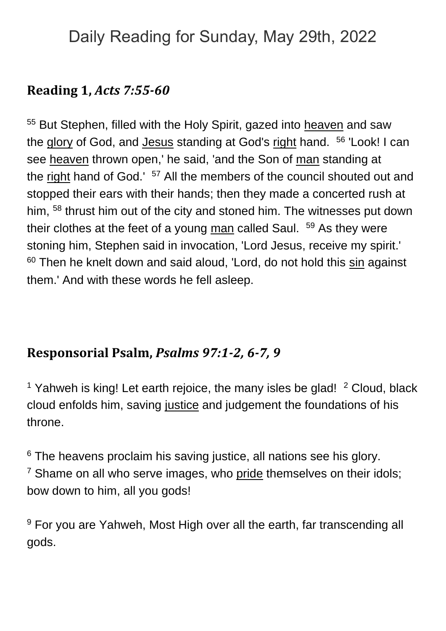# Daily Reading for Sunday, May 29th, 2022

### **Reading 1,** *Acts 7:55-60*

55 But Stephen, filled with the Holy Spirit, gazed into [heaven](https://www.catholic.org/encyclopedia/view.php?id=5593) and saw the [glory](https://www.catholic.org/encyclopedia/view.php?id=5201) of God, and [Jesus](https://www.catholic.org/clife/jesus) standing at God's [right](https://www.catholic.org/encyclopedia/view.php?id=10046) hand. <sup>56</sup> 'Look! I can see [heaven](https://www.catholic.org/encyclopedia/view.php?id=5593) thrown open,' he said, 'and the Son of [man](https://www.catholic.org/encyclopedia/view.php?id=7463) standing at the [right](https://www.catholic.org/encyclopedia/view.php?id=10046) hand of God.' <sup>57</sup> All the members of the council shouted out and stopped their ears with their hands; then they made a concerted rush at him, <sup>58</sup> thrust him out of the city and stoned him. The witnesses put down their clothes at the feet of a young [man](https://www.catholic.org/encyclopedia/view.php?id=7463) called Saul. <sup>59</sup> As they were stoning him, Stephen said in invocation, 'Lord Jesus, receive my spirit.' <sup>60</sup> Then he knelt down and said aloud, 'Lord, do not hold this [sin](https://www.catholic.org/encyclopedia/view.php?id=10849) against them.' And with these words he fell asleep.

### **Responsorial Psalm,** *Psalms 97:1-2, 6-7, 9*

<sup>1</sup> Yahweh is king! Let earth rejoice, the many isles be glad!  $2$  Cloud, black cloud enfolds him, saving [justice](https://www.catholic.org/encyclopedia/view.php?id=6550) and judgement the foundations of his throne.

<sup>6</sup> The heavens proclaim his saving justice, all nations see his glory.  $7$  Shame on all who serve images, who [pride](https://www.catholic.org/encyclopedia/view.php?id=9620) themselves on their idols; bow down to him, all you gods!

<sup>9</sup> For you are Yahweh, Most High over all the earth, far transcending all gods.